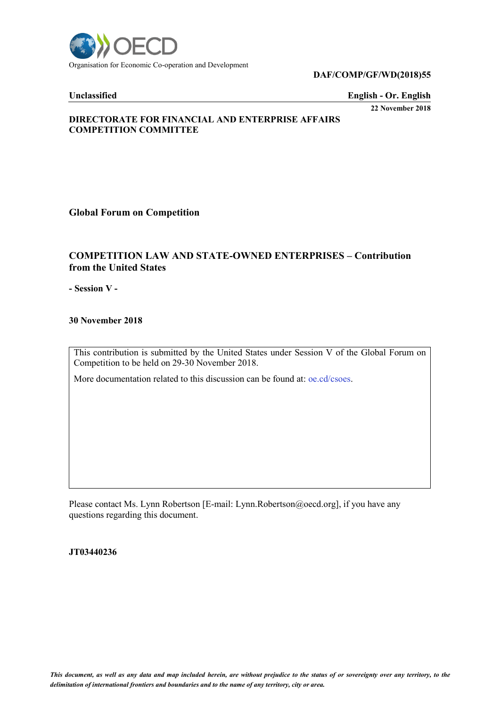

#### **DAF/COMP/GF/WD(2018)55**

#### **Unclassified English - Or. English**

**22 November 2018**

### **DIRECTORATE FOR FINANCIAL AND ENTERPRISE AFFAIRS COMPETITION COMMITTEE**

**Global Forum on Competition**

## **COMPETITION LAW AND STATE-OWNED ENTERPRISES – Contribution from the United States**

**- Session V -**

**30 November 2018**

This contribution is submitted by the United States under Session V of the Global Forum on Competition to be held on 29-30 November 2018.

More documentation related to this discussion can be found at: oe.cd/csoes.

Please contact Ms. Lynn Robertson [E-mail: Lynn.Robertson@oecd.org], if you have any questions regarding this document.

**JT03440236**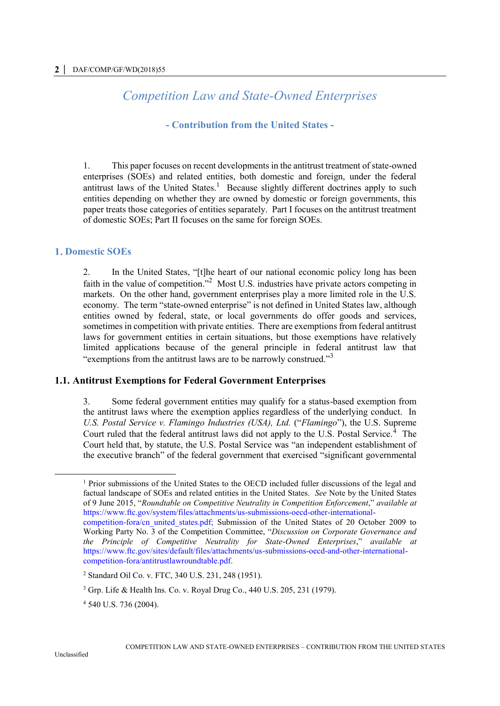# *Competition Law and State-Owned Enterprises*

## **- Contribution from the United States -**

1. This paper focuses on recent developments in the antitrust treatment of state-owned enterprises (SOEs) and related entities, both domestic and foreign, under the federal antitrust laws of the United States.<sup>1</sup> Because slightly different doctrines apply to such entities depending on whether they are owned by domestic or foreign governments, this paper treats those categories of entities separately. Part I focuses on the antitrust treatment of domestic SOEs; Part II focuses on the same for foreign SOEs.

## **Domestic SOEs**

2. In the United States, "[t]he heart of our national economic policy long has been faith in the value of competition."<sup>2</sup> Most U.S. industries have private actors competing in markets. On the other hand, government enterprises play a more limited role in the U.S. economy. The term "state-owned enterprise" is not defined in United States law, although entities owned by federal, state, or local governments do offer goods and services, sometimes in competition with private entities. There are exemptions from federal antitrust laws for government entities in certain situations, but those exemptions have relatively limited applications because of the general principle in federal antitrust law that "exemptions from the antitrust laws are to be narrowly construed."<sup>3</sup>

#### **1.1. Antitrust Exemptions for Federal Government Enterprises**

3. Some federal government entities may qualify for a status-based exemption from the antitrust laws where the exemption applies regardless of the underlying conduct. In *U.S. Postal Service v. Flamingo Industries (USA), Ltd.* ("*Flamingo*"), the U.S. Supreme Court ruled that the federal antitrust laws did not apply to the U.S. Postal Service.<sup>4</sup> The Court held that, by statute, the U.S. Postal Service was "an independent establishment of the executive branch" of the federal government that exercised "significant governmental

 $\overline{a}$ 

<sup>1</sup> Prior submissions of the United States to the OECD included fuller discussions of the legal and factual landscape of SOEs and related entities in the United States. *See* Note by the United States of 9 June 2015, "*Roundtable on Competitive Neutrality in Competition Enforcement*," *available at*  https://www.ftc.gov/system/files/attachments/us-submissions-oecd-other-internationalcompetition-fora/cn\_united\_states.pdf; Submission of the United States of 20 October 2009 to Working Party No. 3 of the Competition Committee, "*Discussion on Corporate Governance and the Principle of Competitive Neutrality for State-Owned Enterprises*," *available at*  https://www.ftc.gov/sites/default/files/attachments/us-submissions-oecd-and-other-internationalcompetition-fora/antitrustlawroundtable.pdf.

<sup>2</sup> Standard Oil Co. v. FTC, 340 U.S. 231, 248 (1951).

<sup>3</sup> Grp. Life & Health Ins. Co. v. Royal Drug Co., 440 U.S. 205, 231 (1979).

<sup>4</sup> 540 U.S. 736 (2004).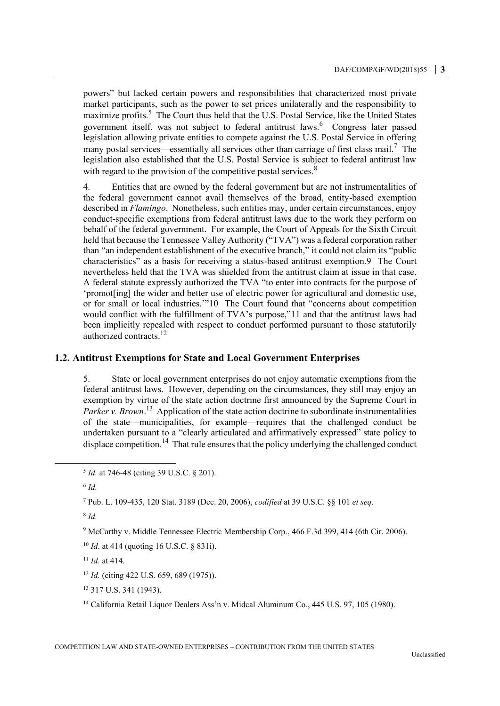powers" but lacked certain powers and responsibilities that characterized most private market participants, such as the power to set prices unilaterally and the responsibility to maximize profits.<sup>5</sup> The Court thus held that the U.S. Postal Service, like the United States government itself, was not subject to federal antitrust laws.<sup>6</sup> Congress later passed legislation allowing private entities to compete against the U.S. Postal Service in offering many postal services—essentially all services other than carriage of first class mail.<sup>7</sup> The legislation also established that the U.S. Postal Service is subject to federal antitrust law with regard to the provision of the competitive postal services.<sup>8</sup>

4. Entities that are owned by the federal government but are not instrumentalities of the federal government cannot avail themselves of the broad, entity-based exemption described in *Flamingo*. Nonetheless, such entities may, under certain circumstances, enjoy conduct-specific exemptions from federal antitrust laws due to the work they perform on behalf of the federal government. For example, the Court of Appeals for the Sixth Circuit held that because the Tennessee Valley Authority ("TVA") was a federal corporation rather than "an independent establishment of the executive branch," it could not claim its "public characteristics" as a basis for receiving a status-based antitrust exemption.9 The Court nevertheless held that the TVA was shielded from the antitrust claim at issue in that case. A federal statute expressly authorized the TVA "to enter into contracts for the purpose of 'promot[ing] the wider and better use of electric power for agricultural and domestic use, or for small or local industries.'"10 The Court found that "concerns about competition would conflict with the fulfillment of TVA's purpose,"11 and that the antitrust laws had been implicitly repealed with respect to conduct performed pursuant to those statutorily authorized contracts.<sup>12</sup>

## **1.2. Antitrust Exemptions for State and Local Government Enterprises**

5. State or local government enterprises do not enjoy automatic exemptions from the federal antitrust laws. However, depending on the circumstances, they still may enjoy an exemption by virtue of the state action doctrine first announced by the Supreme Court in Parker v. Brown.<sup>13</sup> Application of the state action doctrine to subordinate instrumentalities of the state—municipalities, for example—requires that the challenged conduct be undertaken pursuant to a "clearly articulated and affirmatively expressed" state policy to displace competition.<sup>14</sup> That rule ensures that the policy underlying the challenged conduct

6 *Id.*

 $\overline{a}$ 

```
7 Pub. L. 109-435, 120 Stat. 3189 (Dec. 20, 2006), codified at 39 U.S.C. §§ 101 et seq.
```
8 *Id.*

<sup>9</sup> McCarthy v. Middle Tennessee Electric Membership Corp., 466 F.3d 399, 414 (6th Cir. 2006).

<sup>11</sup> *Id.* at 414.

<sup>13</sup> 317 U.S. 341 (1943).

<sup>14</sup> California Retail Liquor Dealers Ass'n v. Midcal Aluminum Co., 445 U.S. 97, 105 (1980).

<sup>5</sup> *Id.* at 746-48 (citing 39 U.S.C. § 201).

<sup>10</sup> *Id*. at 414 (quoting 16 U.S.C. § 831i).

<sup>12</sup> *Id.* (citing 422 U.S. 659, 689 (1975)).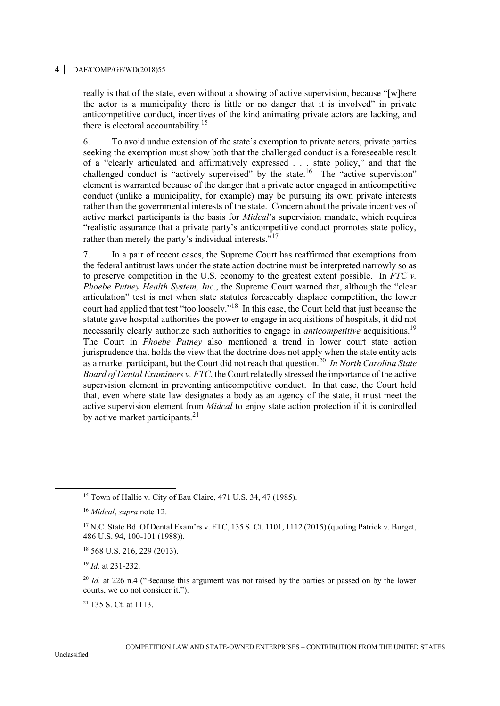really is that of the state, even without a showing of active supervision, because "[w]here the actor is a municipality there is little or no danger that it is involved" in private anticompetitive conduct, incentives of the kind animating private actors are lacking, and there is electoral accountability.<sup>15</sup>

6. To avoid undue extension of the state's exemption to private actors, private parties seeking the exemption must show both that the challenged conduct is a foreseeable result of a "clearly articulated and affirmatively expressed . . . state policy," and that the challenged conduct is "actively supervised" by the state.<sup>16</sup> The "active supervision" element is warranted because of the danger that a private actor engaged in anticompetitive conduct (unlike a municipality, for example) may be pursuing its own private interests rather than the governmental interests of the state. Concern about the private incentives of active market participants is the basis for *Midcal*'s supervision mandate, which requires "realistic assurance that a private party's anticompetitive conduct promotes state policy, rather than merely the party's individual interests."<sup>17</sup>

7. In a pair of recent cases, the Supreme Court has reaffirmed that exemptions from the federal antitrust laws under the state action doctrine must be interpreted narrowly so as to preserve competition in the U.S. economy to the greatest extent possible. In *FTC v. Phoebe Putney Health System, Inc.*, the Supreme Court warned that, although the "clear articulation" test is met when state statutes foreseeably displace competition, the lower court had applied that test "too loosely."<sup>18</sup> In this case, the Court held that just because the statute gave hospital authorities the power to engage in acquisitions of hospitals, it did not necessarily clearly authorize such authorities to engage in *anticompetitive* acquisitions.<sup>19</sup> The Court in *Phoebe Putney* also mentioned a trend in lower court state action jurisprudence that holds the view that the doctrine does not apply when the state entity acts as a market participant, but the Court did not reach that question.<sup>20</sup> *In North Carolina State Board of Dental Examiners v. FTC*, the Court relatedly stressed the importance of the active supervision element in preventing anticompetitive conduct. In that case, the Court held that, even where state law designates a body as an agency of the state, it must meet the active supervision element from *Midcal* to enjoy state action protection if it is controlled by active market participants. $2<sup>1</sup>$ 

<sup>21</sup> 135 S. Ct. at 1113.

 $\overline{a}$ 

<sup>15</sup> Town of Hallie v. City of Eau Claire, 471 U.S. 34, 47 (1985).

<sup>16</sup> *Midcal*, *supra* note 12.

<sup>&</sup>lt;sup>17</sup> N.C. State Bd. Of Dental Exam'rs v. FTC, 135 S. Ct. 1101, 1112 (2015) (quoting Patrick v. Burget, 486 U.S. 94, 100-101 (1988)).

<sup>18</sup> 568 U.S. 216, 229 (2013).

<sup>19</sup> *Id.* at 231-232.

<sup>&</sup>lt;sup>20</sup> *Id.* at 226 n.4 ("Because this argument was not raised by the parties or passed on by the lower courts, we do not consider it.").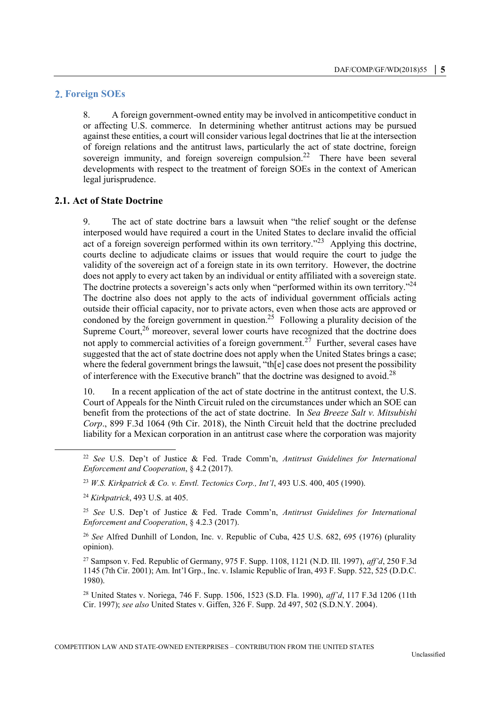#### **Foreign SOEs**

8. A foreign government-owned entity may be involved in anticompetitive conduct in or affecting U.S. commerce. In determining whether antitrust actions may be pursued against these entities, a court will consider various legal doctrines that lie at the intersection of foreign relations and the antitrust laws, particularly the act of state doctrine, foreign sovereign immunity, and foreign sovereign compulsion.<sup>22</sup> There have been several developments with respect to the treatment of foreign SOEs in the context of American legal jurisprudence.

## **2.1. Act of State Doctrine**

9. The act of state doctrine bars a lawsuit when "the relief sought or the defense interposed would have required a court in the United States to declare invalid the official act of a foreign sovereign performed within its own territory."<sup>23</sup> Applying this doctrine, courts decline to adjudicate claims or issues that would require the court to judge the validity of the sovereign act of a foreign state in its own territory. However, the doctrine does not apply to every act taken by an individual or entity affiliated with a sovereign state. The doctrine protects a sovereign's acts only when "performed within its own territory."<sup>24</sup> The doctrine also does not apply to the acts of individual government officials acting outside their official capacity, nor to private actors, even when those acts are approved or condoned by the foreign government in question.<sup>25</sup> Following a plurality decision of the Supreme Court, $2<sup>6</sup>$  moreover, several lower courts have recognized that the doctrine does not apply to commercial activities of a foreign government.<sup>27</sup> Further, several cases have suggested that the act of state doctrine does not apply when the United States brings a case; where the federal government brings the lawsuit, "the leg case does not present the possibility of interference with the Executive branch" that the doctrine was designed to avoid.<sup>28</sup>

10. In a recent application of the act of state doctrine in the antitrust context, the U.S. Court of Appeals for the Ninth Circuit ruled on the circumstances under which an SOE can benefit from the protections of the act of state doctrine. In *Sea Breeze Salt v. Mitsubishi Corp*., 899 F.3d 1064 (9th Cir. 2018), the Ninth Circuit held that the doctrine precluded liability for a Mexican corporation in an antitrust case where the corporation was majority

 $\ddot{\phantom{a}}$ 

<sup>22</sup> *See* U.S. Dep't of Justice & Fed. Trade Comm'n, *Antitrust Guidelines for International Enforcement and Cooperation*, § 4.2 (2017).

<sup>23</sup> *W.S. Kirkpatrick & Co. v. Envtl. Tectonics Corp., Int'l*, 493 U.S. 400, 405 (1990).

<sup>24</sup> *Kirkpatrick*, 493 U.S. at 405.

<sup>25</sup> *See* U.S. Dep't of Justice & Fed. Trade Comm'n, *Antitrust Guidelines for International Enforcement and Cooperation*, § 4.2.3 (2017).

<sup>26</sup> *See* Alfred Dunhill of London, Inc. v. Republic of Cuba, 425 U.S. 682, 695 (1976) (plurality opinion).

<sup>27</sup> Sampson v. Fed. Republic of Germany, 975 F. Supp. 1108, 1121 (N.D. Ill. 1997), *aff'd*, 250 F.3d 1145 (7th Cir. 2001); Am. Int'l Grp., Inc. v. Islamic Republic of Iran, 493 F. Supp. 522, 525 (D.D.C. 1980).

<sup>28</sup> United States v. Noriega, 746 F. Supp. 1506, 1523 (S.D. Fla. 1990), *aff'd*, 117 F.3d 1206 (11th Cir. 1997); *see also* United States v. Giffen, 326 F. Supp. 2d 497, 502 (S.D.N.Y. 2004).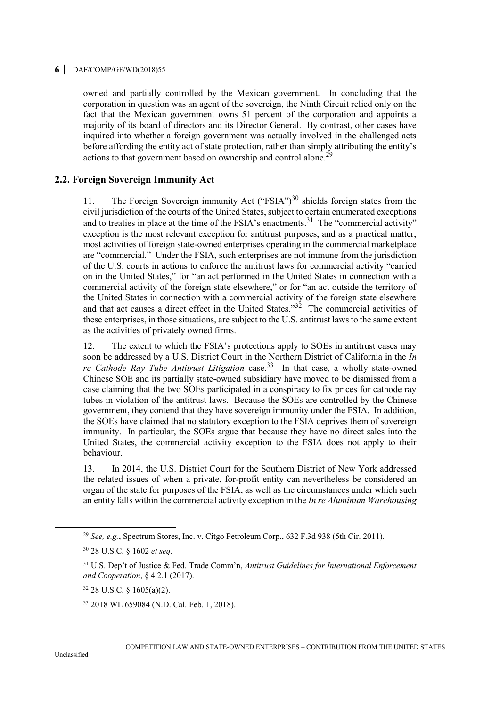#### **6 │** DAF/COMP/GF/WD(2018)55

owned and partially controlled by the Mexican government. In concluding that the corporation in question was an agent of the sovereign, the Ninth Circuit relied only on the fact that the Mexican government owns 51 percent of the corporation and appoints a majority of its board of directors and its Director General. By contrast, other cases have inquired into whether a foreign government was actually involved in the challenged acts before affording the entity act of state protection, rather than simply attributing the entity's actions to that government based on ownership and control alone.<sup>29</sup>

### **2.2. Foreign Sovereign Immunity Act**

11. The Foreign Sovereign immunity Act ("FSIA")<sup>30</sup> shields foreign states from the civil jurisdiction of the courts of the United States, subject to certain enumerated exceptions and to treaties in place at the time of the FSIA's enactments.<sup>31</sup> The "commercial activity" exception is the most relevant exception for antitrust purposes, and as a practical matter, most activities of foreign state-owned enterprises operating in the commercial marketplace are "commercial." Under the FSIA, such enterprises are not immune from the jurisdiction of the U.S. courts in actions to enforce the antitrust laws for commercial activity "carried on in the United States," for "an act performed in the United States in connection with a commercial activity of the foreign state elsewhere," or for "an act outside the territory of the United States in connection with a commercial activity of the foreign state elsewhere and that act causes a direct effect in the United States."<sup>32</sup> The commercial activities of these enterprises, in those situations, are subject to the U.S. antitrust laws to the same extent as the activities of privately owned firms.

12. The extent to which the FSIA's protections apply to SOEs in antitrust cases may soon be addressed by a U.S. District Court in the Northern District of California in the *In*  re Cathode Ray Tube Antitrust Litigation case.<sup>33</sup> In that case, a wholly state-owned Chinese SOE and its partially state-owned subsidiary have moved to be dismissed from a case claiming that the two SOEs participated in a conspiracy to fix prices for cathode ray tubes in violation of the antitrust laws. Because the SOEs are controlled by the Chinese government, they contend that they have sovereign immunity under the FSIA. In addition, the SOEs have claimed that no statutory exception to the FSIA deprives them of sovereign immunity. In particular, the SOEs argue that because they have no direct sales into the United States, the commercial activity exception to the FSIA does not apply to their behaviour.

13. In 2014, the U.S. District Court for the Southern District of New York addressed the related issues of when a private, for-profit entity can nevertheless be considered an organ of the state for purposes of the FSIA, as well as the circumstances under which such an entity falls within the commercial activity exception in the *In re Aluminum Warehousing* 

 $\overline{a}$ 

<sup>29</sup> *See, e.g.*, Spectrum Stores, Inc. v. Citgo Petroleum Corp., 632 F.3d 938 (5th Cir. 2011).

<sup>30</sup> 28 U.S.C. § 1602 *et seq*.

<sup>31</sup> U.S. Dep't of Justice & Fed. Trade Comm'n, *Antitrust Guidelines for International Enforcement and Cooperation*, § 4.2.1 (2017).

<sup>32</sup> 28 U.S.C. § 1605(a)(2).

<sup>33</sup> 2018 WL 659084 (N.D. Cal. Feb. 1, 2018).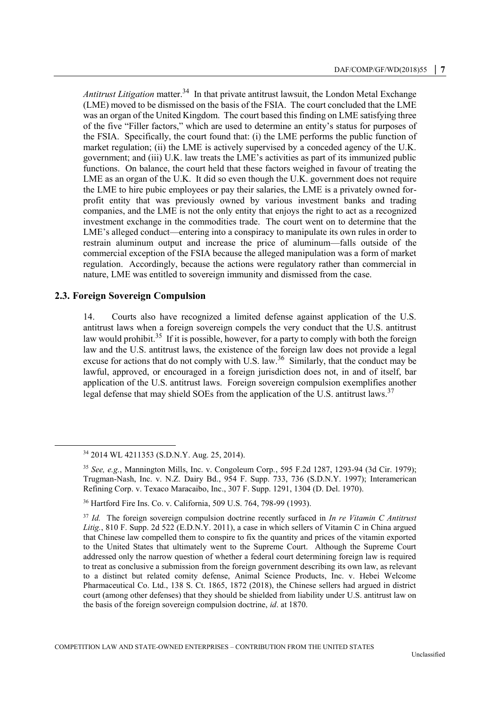Antitrust Litigation matter.<sup>34</sup> In that private antitrust lawsuit, the London Metal Exchange (LME) moved to be dismissed on the basis of the FSIA. The court concluded that the LME was an organ of the United Kingdom. The court based this finding on LME satisfying three of the five "Filler factors," which are used to determine an entity's status for purposes of the FSIA. Specifically, the court found that: (i) the LME performs the public function of market regulation; (ii) the LME is actively supervised by a conceded agency of the U.K. government; and (iii) U.K. law treats the LME's activities as part of its immunized public functions. On balance, the court held that these factors weighed in favour of treating the LME as an organ of the U.K. It did so even though the U.K. government does not require the LME to hire pubic employees or pay their salaries, the LME is a privately owned forprofit entity that was previously owned by various investment banks and trading companies, and the LME is not the only entity that enjoys the right to act as a recognized investment exchange in the commodities trade. The court went on to determine that the LME's alleged conduct—entering into a conspiracy to manipulate its own rules in order to restrain aluminum output and increase the price of aluminum—falls outside of the commercial exception of the FSIA because the alleged manipulation was a form of market regulation. Accordingly, because the actions were regulatory rather than commercial in nature, LME was entitled to sovereign immunity and dismissed from the case.

## **2.3. Foreign Sovereign Compulsion**

 $\overline{a}$ 

14. Courts also have recognized a limited defense against application of the U.S. antitrust laws when a foreign sovereign compels the very conduct that the U.S. antitrust law would prohibit.<sup>35</sup> If it is possible, however, for a party to comply with both the foreign law and the U.S. antitrust laws, the existence of the foreign law does not provide a legal excuse for actions that do not comply with U.S. law.<sup>36</sup> Similarly, that the conduct may be lawful, approved, or encouraged in a foreign jurisdiction does not, in and of itself, bar application of the U.S. antitrust laws. Foreign sovereign compulsion exemplifies another legal defense that may shield SOEs from the application of the U.S. antitrust laws.<sup>37</sup>

<sup>34</sup> 2014 WL 4211353 (S.D.N.Y. Aug. 25, 2014).

<sup>35</sup> *See, e.g.*, Mannington Mills, Inc. v. Congoleum Corp*.*, 595 F.2d 1287, 1293-94 (3d Cir. 1979); Trugman-Nash, Inc. v. N.Z. Dairy Bd., 954 F. Supp. 733, 736 (S.D.N.Y. 1997); Interamerican Refining Corp. v. Texaco Maracaibo, Inc., 307 F. Supp. 1291, 1304 (D. Del. 1970).

<sup>36</sup> Hartford Fire Ins. Co. v. California, 509 U.S. 764, 798-99 (1993).

<sup>37</sup> *Id.* The foreign sovereign compulsion doctrine recently surfaced in *In re Vitamin C Antitrust*  Litig., 810 F. Supp. 2d 522 (E.D.N.Y. 2011), a case in which sellers of Vitamin C in China argued that Chinese law compelled them to conspire to fix the quantity and prices of the vitamin exported to the United States that ultimately went to the Supreme Court. Although the Supreme Court addressed only the narrow question of whether a federal court determining foreign law is required to treat as conclusive a submission from the foreign government describing its own law, as relevant to a distinct but related comity defense, Animal Science Products, Inc. v. Hebei Welcome Pharmaceutical Co. Ltd., 138 S. Ct. 1865, 1872 (2018), the Chinese sellers had argued in district court (among other defenses) that they should be shielded from liability under U.S. antitrust law on the basis of the foreign sovereign compulsion doctrine, *id*. at 1870.